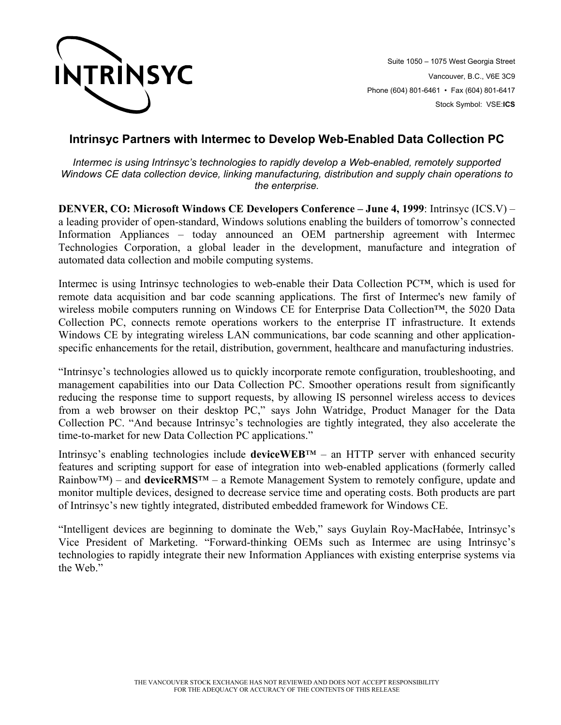

Suite 1050 – 1075 West Georgia Street Vancouver, B.C., V6E 3C9 Phone (604) 801-6461 • Fax (604) 801-6417 Stock Symbol: VSE:**ICS**

## **Intrinsyc Partners with Intermec to Develop Web-Enabled Data Collection PC**

*Intermec is using Intrinsyc's technologies to rapidly develop a Web-enabled, remotely supported Windows CE data collection device, linking manufacturing, distribution and supply chain operations to the enterprise.* 

**DENVER, CO: Microsoft Windows CE Developers Conference – June 4, 1999**: Intrinsyc (ICS.V) – a leading provider of open-standard, Windows solutions enabling the builders of tomorrow's connected Information Appliances – today announced an OEM partnership agreement with Intermec Technologies Corporation, a global leader in the development, manufacture and integration of automated data collection and mobile computing systems.

Intermec is using Intrinsyc technologies to web-enable their Data Collection PC™, which is used for remote data acquisition and bar code scanning applications. The first of Intermec's new family of wireless mobile computers running on Windows CE for Enterprise Data Collection™, the 5020 Data Collection PC, connects remote operations workers to the enterprise IT infrastructure. It extends Windows CE by integrating wireless LAN communications, bar code scanning and other applicationspecific enhancements for the retail, distribution, government, healthcare and manufacturing industries.

"Intrinsyc's technologies allowed us to quickly incorporate remote configuration, troubleshooting, and management capabilities into our Data Collection PC. Smoother operations result from significantly reducing the response time to support requests, by allowing IS personnel wireless access to devices from a web browser on their desktop PC," says John Watridge, Product Manager for the Data Collection PC. "And because Intrinsyc's technologies are tightly integrated, they also accelerate the time-to-market for new Data Collection PC applications."

Intrinsyc's enabling technologies include **deviceWEB**™ – an HTTP server with enhanced security features and scripting support for ease of integration into web-enabled applications (formerly called Rainbow™) – and **deviceRMS**™ – a Remote Management System to remotely configure, update and monitor multiple devices, designed to decrease service time and operating costs. Both products are part of Intrinsyc's new tightly integrated, distributed embedded framework for Windows CE.

"Intelligent devices are beginning to dominate the Web," says Guylain Roy-MacHabée, Intrinsyc's Vice President of Marketing. "Forward-thinking OEMs such as Intermec are using Intrinsyc's technologies to rapidly integrate their new Information Appliances with existing enterprise systems via the Web."